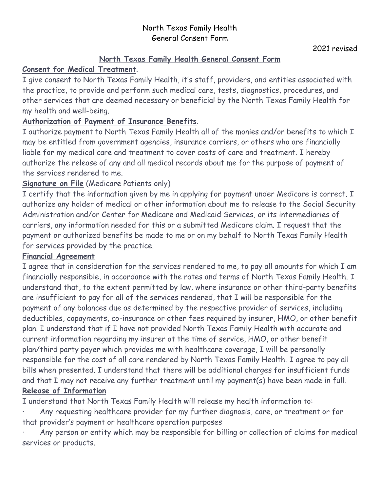### North Texas Family Health General Consent Form

# **North Texas Family Health General Consent Form**

# **Consent for Medical Treatment**.

I give consent to North Texas Family Health, it's staff, providers, and entities associated with the practice, to provide and perform such medical care, tests, diagnostics, procedures, and other services that are deemed necessary or beneficial by the North Texas Family Health for my health and well-being.

# **Authorization of Payment of Insurance Benefits**.

I authorize payment to North Texas Family Health all of the monies and/or benefits to which I may be entitled from government agencies, insurance carriers, or others who are financially liable for my medical care and treatment to cover costs of care and treatment. I hereby authorize the release of any and all medical records about me for the purpose of payment of the services rendered to me.

## **Signature on File** (Medicare Patients only)

I certify that the information given by me in applying for payment under Medicare is correct. I authorize any holder of medical or other information about me to release to the Social Security Administration and/or Center for Medicare and Medicaid Services, or its intermediaries of carriers, any information needed for this or a submitted Medicare claim. I request that the payment or authorized benefits be made to me or on my behalf to North Texas Family Health for services provided by the practice.

## **Financial Agreement**

I agree that in consideration for the services rendered to me, to pay all amounts for which I am financially responsible, in accordance with the rates and terms of North Texas Family Health. I understand that, to the extent permitted by law, where insurance or other third-party benefits are insufficient to pay for all of the services rendered, that I will be responsible for the payment of any balances due as determined by the respective provider of services, including deductibles, copayments, co-insurance or other fees required by insurer, HMO, or other benefit plan. I understand that if I have not provided North Texas Family Health with accurate and current information regarding my insurer at the time of service, HMO, or other benefit plan/third party payer which provides me with healthcare coverage, I will be personally responsible for the cost of all care rendered by North Texas Family Health. I agree to pay all bills when presented. I understand that there will be additional charges for insufficient funds and that I may not receive any further treatment until my payment(s) have been made in full. **Release of Information**

I understand that North Texas Family Health will release my health information to:

Any requesting healthcare provider for my further diagnosis, care, or treatment or for that provider's payment or healthcare operation purposes

Any person or entity which may be responsible for billing or collection of claims for medical services or products.